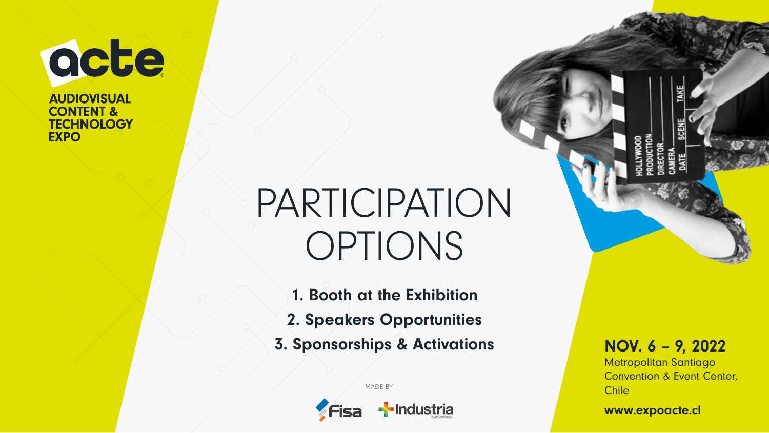acte **AUDIOVISUAL** 

**CONTENT & TECHNOLOGY EXPO** 

# PARTICIPATION OPTIONS

1. Booth at the Exhibition 2. Speakers Opportunities 3. Sponsorships & Activations NOV. 6 - 9, 2022

-Industria

MADE BY

Metropolitan Santiago Convention & Event Center, Chile

www.expoacte.cl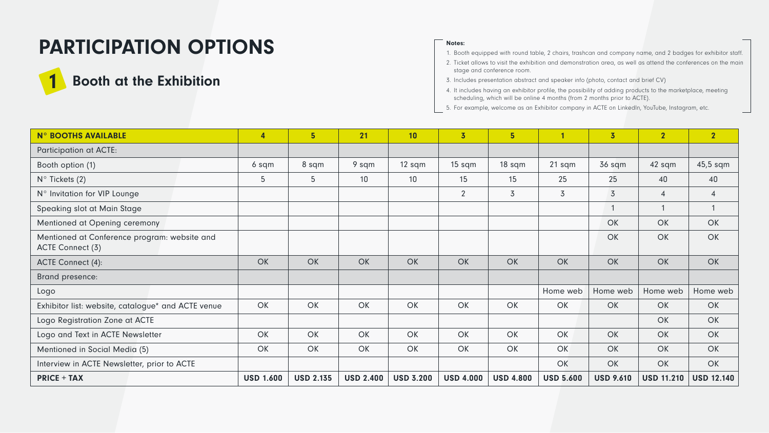## PARTICIPATION OPTIONS

### **Booth at the Exhibition**

#### Notes:

- 1. Booth equipped with round table, 2 chairs, trashcan and company name, and 2 badges for exhibitor staff.
- 2. Ticket allows to visit the exhibition and demonstration area, as well as attend the conferences on the main stage and conference room.
- 3. Includes presentation abstract and speaker info (photo, contact and brief CV)
- 4. It includes having an exhibitor profile, the possibility of adding products to the marketplace, meeting scheduling, which will be online 4 months (from 2 months prior to ACTE).
- 5. For example, welcome as an Exhibitor company in ACTE on LinkedIn, YouTube, Instagram, etc.

| <b>N° BOOTHS AVAILABLE</b>                                       | 4                | 5                | 21               | 10               | $\overline{3}$   | 5 <sup>5</sup>   |                  | $\overline{3}$   | $\overline{2}$    | $\overline{2}$    |
|------------------------------------------------------------------|------------------|------------------|------------------|------------------|------------------|------------------|------------------|------------------|-------------------|-------------------|
| Participation at ACTE:                                           |                  |                  |                  |                  |                  |                  |                  |                  |                   |                   |
| Booth option (1)                                                 | 6 sqm            | 8 sqm            | 9 sqm            | 12 sqm           | 15 sqm           | 18 sqm           | 21 sqm           | 36 sqm           | 42 sqm            | 45,5 sqm          |
| $N^{\circ}$ Tickets (2)                                          | 5                | 5                | 10               | 10               | 15               | 15               | 25               | 25               | 40                | 40                |
| N° Invitation for VIP Lounge                                     |                  |                  |                  |                  | 2                | 3                | 3                | 3                | $\overline{4}$    | $\overline{4}$    |
| Speaking slot at Main Stage                                      |                  |                  |                  |                  |                  |                  |                  | $\mathbf{1}$     |                   |                   |
| Mentioned at Opening ceremony                                    |                  |                  |                  |                  |                  |                  |                  | OK               | OK                | OK                |
| Mentioned at Conference program: website and<br>ACTE Connect (3) |                  |                  |                  |                  |                  |                  |                  | OK               | OK                | OK                |
| ACTE Connect (4):                                                | OK               | OK               | OK               | <b>OK</b>        | OK               | OK               | OK               | OK               | OK                | OK                |
| Brand presence:                                                  |                  |                  |                  |                  |                  |                  |                  |                  |                   |                   |
| Logo                                                             |                  |                  |                  |                  |                  |                  | Home web         | Home web         | Home web          | Home web          |
| Exhibitor list: website, catalogue* and ACTE venue               | OK               | OK               | OK               | OK               | OK               | OK               | OK               | OK               | OK                | OK                |
| Logo Registration Zone at ACTE                                   |                  |                  |                  |                  |                  |                  |                  |                  | OK                | OK                |
| Logo and Text in ACTE Newsletter                                 | OK               | OK               | OK               | OK               | OK               | OK               | OK               | OK               | OK                | OK                |
| Mentioned in Social Media (5)                                    | OK               | OK               | OK               | OK               | OK               | OK               | OK               | OK               | OK                | OK                |
| Interview in ACTE Newsletter, prior to ACTE                      |                  |                  |                  |                  |                  |                  | OK               | <b>OK</b>        | OK                | OK                |
| <b>PRICE + TAX</b>                                               | <b>USD 1.600</b> | <b>USD 2.135</b> | <b>USD 2.400</b> | <b>USD 3.200</b> | <b>USD 4.000</b> | <b>USD 4.800</b> | <b>USD 5.600</b> | <b>USD 9.610</b> | <b>USD 11.210</b> | <b>USD 12.140</b> |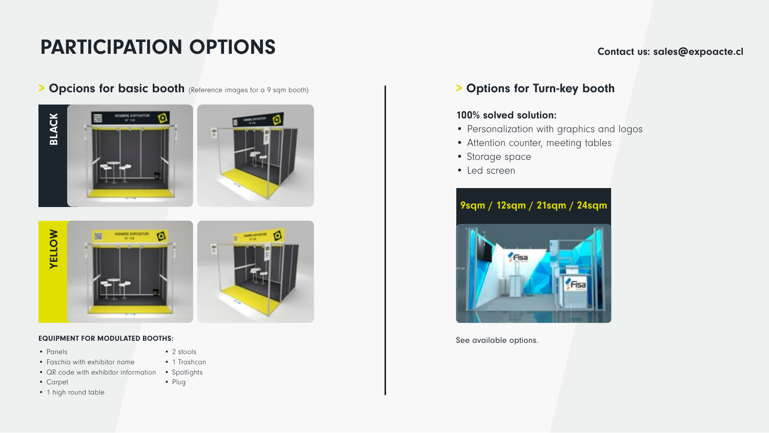### **PARTICIPATION OPTIONS** Contact us: sales@expoacte.cl

> Opcions for basic booth (Reference images for a 9 sqm booth) | > Options for Turn-key booth







#### EQUIPMENT FOR MODULATED BOOTHS:

• Panels

• 2 stools

• Plug

- Faschia with exhibitor name
- QR code with exhibitor information
- Carpet
- 1 high round table
- 
- Personalization with graphics and logos
- Attention counter, meeting tables
- Storage space

100% solved solution:

• Led screen



See available options.

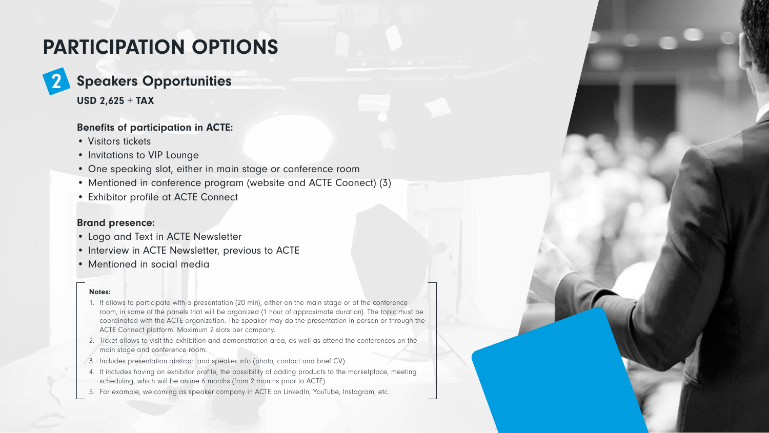## PARTICIPATION OPTIONS

## Speakers Opportunities

USD 2,625 + TAX

2

### Benefits of participation in ACTE:

- Visitors tickets
- Invitations to VIP Lounge
- One speaking slot, either in main stage or conference room
- Mentioned in conference program (website and ACTE Coonect) (3)
- Exhibitor profile at ACTE Connect

### Brand presence:

- Logo and Text in ACTE Newsletter
- Interview in ACTE Newsletter, previous to ACTE
- Mentioned in social media

#### Notes:

- 1. It allows to participate with a presentation (20 min), either on the main stage or at the conference room, in some of the panels that will be organized (1 hour of approximate duration). The topic must be coordinated with the ACTE organization. The speaker may do the presentation in person or through the ACTE Connect platform. Maximum 2 slots per company.
- 2. Ticket allows to visit the exhibition and demonstration area, as well as attend the conferences on the main stage and conference room.
- 3. Includes presentation abstract and speaker info (photo, contact and brief CV)
- 4. It includes having an exhibitor profile, the possibility of adding products to the marketplace, meeting scheduling, which will be online 6 months (from 2 months prior to ACTE).
- 5. For example, welcoming as speaker company in ACTE on LinkedIn, YouTube, Instagram, etc.